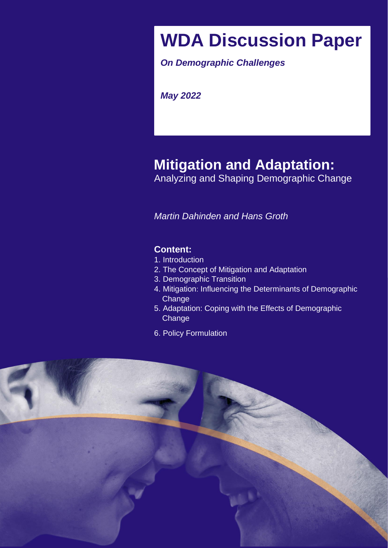# **WDA Discussion Paper**

*On Demographic Challenges* 

*on Demographic Challenges May 2022* 

# **Mitigation and Adaptation:**

Analyzing and Shaping Demographic Change

Challenges in 2030 and beyond *Martin Dahinden and Hans Groth*

# *at the University of St. Gallen, Switzerland* **Content:**

- 1. Introduction
- 2. The Concept of Mitigation and Adaptation
- 3. Demographic Transition
- 4. Mitigation: Influencing the Determinants of Demographic **Change**
- 5. Adaptation: Coping with the Effects of Demographic **Change**
- 6. Policy Formulation

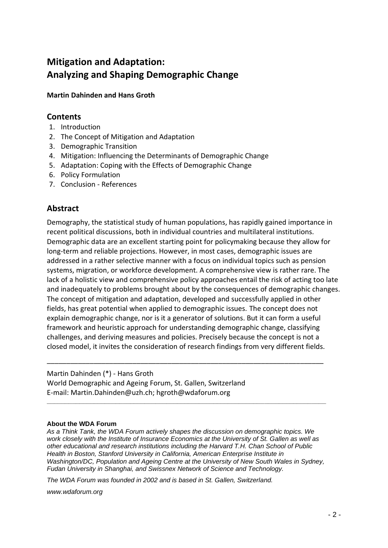# **Mitigation and Adaptation: Analyzing and Shaping Demographic Change**

**Martin Dahinden and Hans Groth**

# **Contents**

- 1. Introduction
- 2. The Concept of Mitigation and Adaptation
- 3. Demographic Transition
- 4. Mitigation: Influencing the Determinants of Demographic Change
- 5. Adaptation: Coping with the Effects of Demographic Change
- 6. Policy Formulation
- 7. Conclusion References

# **Abstract**

Demography, the statistical study of human populations, has rapidly gained importance in recent political discussions, both in individual countries and multilateral institutions. Demographic data are an excellent starting point for policymaking because they allow for long-term and reliable projections. However, in most cases, demographic issues are addressed in a rather selective manner with a focus on individual topics such as pension systems, migration, or workforce development. A comprehensive view is rather rare. The lack of a holistic view and comprehensive policy approaches entail the risk of acting too late and inadequately to problems brought about by the consequences of demographic changes. The concept of mitigation and adaptation, developed and successfully applied in other fields, has great potential when applied to demographic issues. The concept does not explain demographic change, nor is it a generator of solutions. But it can form a useful framework and heuristic approach for understanding demographic change, classifying challenges, and deriving measures and policies. Precisely because the concept is not a closed model, it invites the consideration of research findings from very different fields.

#### Martin Dahinden (\*) - Hans Groth

World Demographic and Ageing Forum, St. Gallen, Switzerland E-mail: Martin.Dahinden@uzh.ch; hgroth@wdaforum.org

#### **About the WDA Forum**

*As a Think Tank, the WDA Forum actively shapes the discussion on demographic topics. We work closely with the Institute of Insurance Economics at the University of St. Gallen as well as other educational and research institutions including the Harvard T.H. Chan School of Public Health in Boston, Stanford University in California, American Enterprise Institute in Washington/DC, Population and Ageing Centre at the University of New South Wales in Sydney, Fudan University in Shanghai, and Swissnex Network of Science and Technology.*

\_\_\_\_\_\_\_\_\_\_\_\_\_\_\_\_\_\_\_\_\_\_\_\_\_\_\_\_\_\_\_\_\_\_\_\_\_\_\_\_\_\_\_\_\_\_\_\_\_\_\_\_\_\_\_\_\_\_\_\_\_\_\_\_\_\_\_\_\_\_\_

**\_\_\_\_\_\_\_\_\_\_\_\_\_\_\_\_\_\_\_\_\_\_\_\_\_\_\_\_\_\_\_\_\_\_\_\_\_\_\_\_\_\_\_\_\_\_\_\_\_\_\_\_\_\_\_\_\_\_\_\_\_\_\_\_\_\_\_\_\_\_\_\_\_\_\_\_\_**

*The WDA Forum was founded in 2002 and is based in St. Gallen, Switzerland.*

*www.wdaforum.org*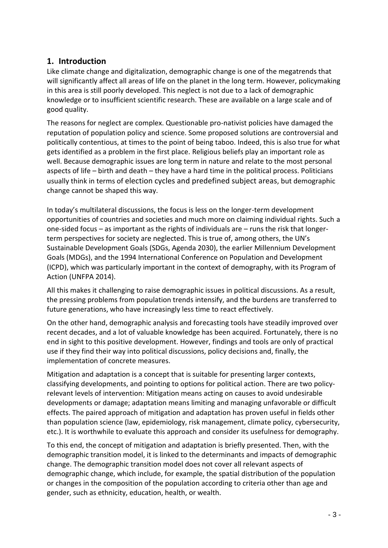# **1. Introduction**

Like climate change and digitalization, demographic change is one of the megatrends that will significantly affect all areas of life on the planet in the long term. However, policymaking in this area is still poorly developed. This neglect is not due to a lack of demographic knowledge or to insufficient scientific research. These are available on a large scale and of good quality.

The reasons for neglect are complex. Questionable pro-nativist policies have damaged the reputation of population policy and science. Some proposed solutions are controversial and politically contentious, at times to the point of being taboo. Indeed, this is also true for what gets identified as a problem in the first place. Religious beliefs play an important role as well. Because demographic issues are long term in nature and relate to the most personal aspects of life – birth and death – they have a hard time in the political process. Politicians usually think in terms of election cycles and predefined subject areas, but demographic change cannot be shaped this way.

In today's multilateral discussions, the focus is less on the longer-term development opportunities of countries and societies and much more on claiming individual rights. Such a one-sided focus – as important as the rights of individuals are – runs the risk that longerterm perspectives for society are neglected. This is true of, among others, the UN's Sustainable Development Goals (SDGs, Agenda 2030), the earlier Millennium Development Goals (MDGs), and the 1994 International Conference on Population and Development (ICPD), which was particularly important in the context of demography, with its Program of Action (UNFPA 2014).

All this makes it challenging to raise demographic issues in political discussions. As a result, the pressing problems from population trends intensify, and the burdens are transferred to future generations, who have increasingly less time to react effectively.

On the other hand, demographic analysis and forecasting tools have steadily improved over recent decades, and a lot of valuable knowledge has been acquired. Fortunately, there is no end in sight to this positive development. However, findings and tools are only of practical use if they find their way into political discussions, policy decisions and, finally, the implementation of concrete measures.

Mitigation and adaptation is a concept that is suitable for presenting larger contexts, classifying developments, and pointing to options for political action. There are two policyrelevant levels of intervention: Mitigation means acting on causes to avoid undesirable developments or damage; adaptation means limiting and managing unfavorable or difficult effects. The paired approach of mitigation and adaptation has proven useful in fields other than population science (law, epidemiology, risk management, climate policy, cybersecurity, etc.). It is worthwhile to evaluate this approach and consider its usefulness for demography.

To this end, the concept of mitigation and adaptation is briefly presented. Then, with the demographic transition model, it is linked to the determinants and impacts of demographic change. The demographic transition model does not cover all relevant aspects of demographic change, which include, for example, the spatial distribution of the population or changes in the composition of the population according to criteria other than age and gender, such as ethnicity, education, health, or wealth.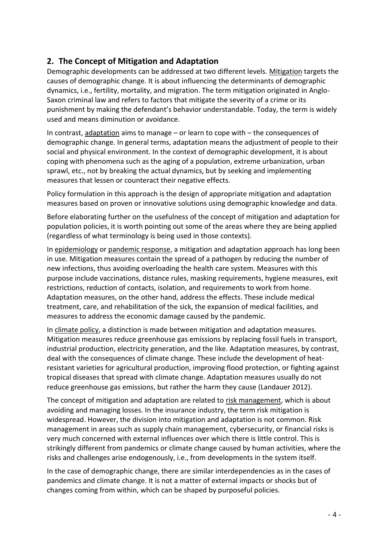# **2. The Concept of Mitigation and Adaptation**

Demographic developments can be addressed at two different levels. Mitigation targets the causes of demographic change. It is about influencing the determinants of demographic dynamics, i.e., fertility, mortality, and migration. The term mitigation originated in Anglo-Saxon criminal law and refers to factors that mitigate the severity of a crime or its punishment by making the defendant's behavior understandable. Today, the term is widely used and means diminution or avoidance.

In contrast, adaptation aims to manage – or learn to cope with – the consequences of demographic change. In general terms, adaptation means the adjustment of people to their social and physical environment. In the context of demographic development, it is about coping with phenomena such as the aging of a population, extreme urbanization, urban sprawl, etc., not by breaking the actual dynamics, but by seeking and implementing measures that lessen or counteract their negative effects.

Policy formulation in this approach is the design of appropriate mitigation and adaptation measures based on proven or innovative solutions using demographic knowledge and data.

Before elaborating further on the usefulness of the concept of mitigation and adaptation for population policies, it is worth pointing out some of the areas where they are being applied (regardless of what terminology is being used in those contexts).

In epidemiology or pandemic response, a mitigation and adaptation approach has long been in use. Mitigation measures contain the spread of a pathogen by reducing the number of new infections, thus avoiding overloading the health care system. Measures with this purpose include vaccinations, distance rules, masking requirements, hygiene measures, exit restrictions, reduction of contacts, isolation, and requirements to work from home. Adaptation measures, on the other hand, address the effects. These include medical treatment, care, and rehabilitation of the sick, the expansion of medical facilities, and measures to address the economic damage caused by the pandemic.

In climate policy, a distinction is made between mitigation and adaptation measures. Mitigation measures reduce greenhouse gas emissions by replacing fossil fuels in transport, industrial production, electricity generation, and the like. Adaptation measures, by contrast, deal with the consequences of climate change. These include the development of heatresistant varieties for agricultural production, improving flood protection, or fighting against tropical diseases that spread with climate change. Adaptation measures usually do not reduce greenhouse gas emissions, but rather the harm they cause (Landauer 2012).

The concept of mitigation and adaptation are related to risk management, which is about avoiding and managing losses. In the insurance industry, the term risk mitigation is widespread. However, the division into mitigation and adaptation is not common. Risk management in areas such as supply chain management, cybersecurity, or financial risks is very much concerned with external influences over which there is little control. This is strikingly different from pandemics or climate change caused by human activities, where the risks and challenges arise endogenously, i.e., from developments in the system itself.

In the case of demographic change, there are similar interdependencies as in the cases of pandemics and climate change. It is not a matter of external impacts or shocks but of changes coming from within, which can be shaped by purposeful policies.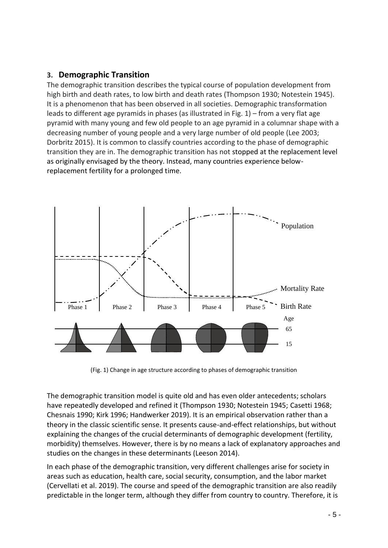# **3. Demographic Transition**

The demographic transition describes the typical course of population development from high birth and death rates, to low birth and death rates (Thompson 1930; Notestein 1945). It is a phenomenon that has been observed in all societies. Demographic transformation leads to different age pyramids in phases (as illustrated in Fig. 1) – from a very flat age pyramid with many young and few old people to an age pyramid in a columnar shape with a decreasing number of young people and a very large number of old people (Lee 2003; Dorbritz 2015). It is common to classify countries according to the phase of demographic transition they are in. The demographic transition has not stopped at the replacement level as originally envisaged by the theory. Instead, many countries experience belowreplacement fertility for a prolonged time.



(Fig. 1) Change in age structure according to phases of demographic transition

The demographic transition model is quite old and has even older antecedents; scholars have repeatedly developed and refined it (Thompson 1930; Notestein 1945; Casetti 1968; Chesnais 1990; Kirk 1996; Handwerker 2019). It is an empirical observation rather than a theory in the classic scientific sense. It presents cause-and-effect relationships, but without explaining the changes of the crucial determinants of demographic development (fertility, morbidity) themselves. However, there is by no means a lack of explanatory approaches and studies on the changes in these determinants (Leeson 2014).

In each phase of the demographic transition, very different challenges arise for society in areas such as education, health care, social security, consumption, and the labor market (Cervellati et al. 2019). The course and speed of the demographic transition are also readily predictable in the longer term, although they differ from country to country. Therefore, it is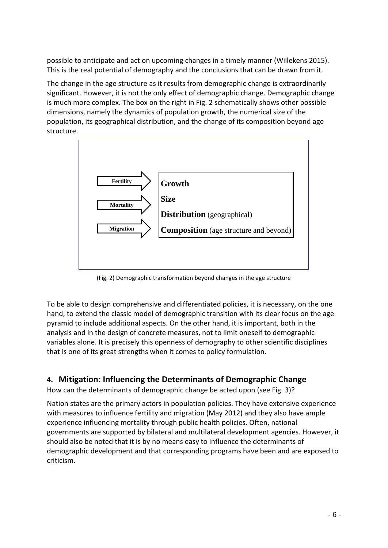possible to anticipate and act on upcoming changes in a timely manner (Willekens 2015). This is the real potential of demography and the conclusions that can be drawn from it.

The change in the age structure as it results from demographic change is extraordinarily significant. However, it is not the only effect of demographic change. Demographic change is much more complex. The box on the right in Fig. 2 schematically shows other possible dimensions, namely the dynamics of population growth, the numerical size of the population, its geographical distribution, and the change of its composition beyond age structure.



(Fig. 2) Demographic transformation beyond changes in the age structure

To be able to design comprehensive and differentiated policies, it is necessary, on the one hand, to extend the classic model of demographic transition with its clear focus on the age pyramid to include additional aspects. On the other hand, it is important, both in the analysis and in the design of concrete measures, not to limit oneself to demographic variables alone. It is precisely this openness of demography to other scientific disciplines that is one of its great strengths when it comes to policy formulation.

# **4. Mitigation: Influencing the Determinants of Demographic Change**

How can the determinants of demographic change be acted upon (see Fig. 3)?

Nation states are the primary actors in population policies. They have extensive experience with measures to influence fertility and migration (May 2012) and they also have ample experience influencing mortality through public health policies. Often, national governments are supported by bilateral and multilateral development agencies. However, it should also be noted that it is by no means easy to influence the determinants of demographic development and that corresponding programs have been and are exposed to criticism.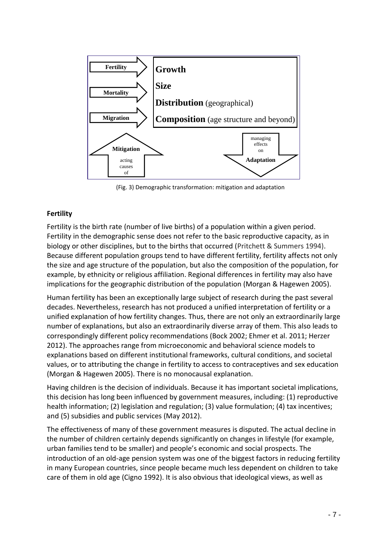

(Fig. 3) Demographic transformation: mitigation and adaptation

## **Fertility**

Fertility is the birth rate (number of live births) of a population within a given period. Fertility in the demographic sense does not refer to the basic reproductive capacity, as in biology or other disciplines, but to the births that occurred (Pritchett & Summers 1994). Because different population groups tend to have different fertility, fertility affects not only the size and age structure of the population, but also the composition of the population, for example, by ethnicity or religious affiliation. Regional differences in fertility may also have implications for the geographic distribution of the population (Morgan & Hagewen 2005).

Human fertility has been an exceptionally large subject of research during the past several decades. Nevertheless, research has not produced a unified interpretation of fertility or a unified explanation of how fertility changes. Thus, there are not only an extraordinarily large number of explanations, but also an extraordinarily diverse array of them. This also leads to correspondingly different policy recommendations (Bock 2002; Ehmer et al. 2011; Herzer 2012). The approaches range from microeconomic and behavioral science models to explanations based on different institutional frameworks, cultural conditions, and societal values, or to attributing the change in fertility to access to contraceptives and sex education (Morgan & Hagewen 2005). There is no monocausal explanation.

Having children is the decision of individuals. Because it has important societal implications, this decision has long been influenced by government measures, including: (1) reproductive health information; (2) legislation and regulation; (3) value formulation; (4) tax incentives; and (5) subsidies and public services (May 2012).

The effectiveness of many of these government measures is disputed. The actual decline in the number of children certainly depends significantly on changes in lifestyle (for example, urban families tend to be smaller) and people's economic and social prospects. The introduction of an old-age pension system was one of the biggest factors in reducing fertility in many European countries, since people became much less dependent on children to take care of them in old age (Cigno 1992). It is also obvious that ideological views, as well as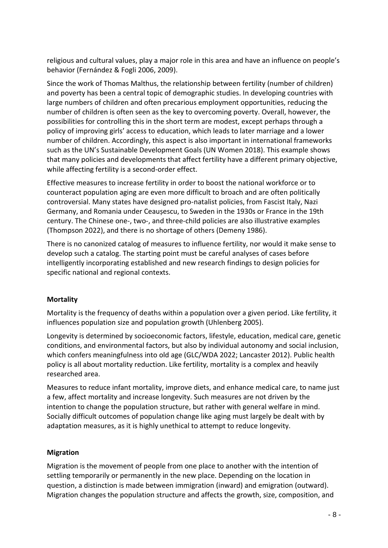religious and cultural values, play a major role in this area and have an influence on people's behavior (Fernández & Fogli 2006, 2009).

Since the work of Thomas Malthus, the relationship between fertility (number of children) and poverty has been a central topic of demographic studies. In developing countries with large numbers of children and often precarious employment opportunities, reducing the number of children is often seen as the key to overcoming poverty. Overall, however, the possibilities for controlling this in the short term are modest, except perhaps through a policy of improving girls' access to education, which leads to later marriage and a lower number of children. Accordingly, this aspect is also important in international frameworks such as the UN's Sustainable Development Goals (UN Women 2018). This example shows that many policies and developments that affect fertility have a different primary objective, while affecting fertility is a second-order effect.

Effective measures to increase fertility in order to boost the national workforce or to counteract population aging are even more difficult to broach and are often politically controversial. Many states have designed pro-natalist policies, from Fascist Italy, Nazi Germany, and Romania under Ceaușescu, to Sweden in the 1930s or France in the 19th century. The Chinese one-, two-, and three-child policies are also illustrative examples (Thompson 2022), and there is no shortage of others (Demeny 1986).

There is no canonized catalog of measures to influence fertility, nor would it make sense to develop such a catalog. The starting point must be careful analyses of cases before intelligently incorporating established and new research findings to design policies for specific national and regional contexts.

## **Mortality**

Mortality is the frequency of deaths within a population over a given period. Like fertility, it influences population size and population growth (Uhlenberg 2005).

Longevity is determined by socioeconomic factors, lifestyle, education, medical care, genetic conditions, and environmental factors, but also by individual autonomy and social inclusion, which confers meaningfulness into old age (GLC/WDA 2022; Lancaster 2012). Public health policy is all about mortality reduction. Like fertility, mortality is a complex and heavily researched area.

Measures to reduce infant mortality, improve diets, and enhance medical care, to name just a few, affect mortality and increase longevity. Such measures are not driven by the intention to change the population structure, but rather with general welfare in mind. Socially difficult outcomes of population change like aging must largely be dealt with by adaptation measures, as it is highly unethical to attempt to reduce longevity.

#### **Migration**

Migration is the movement of people from one place to another with the intention of settling temporarily or permanently in the new place. Depending on the location in question, a distinction is made between immigration (inward) and emigration (outward). Migration changes the population structure and affects the growth, size, composition, and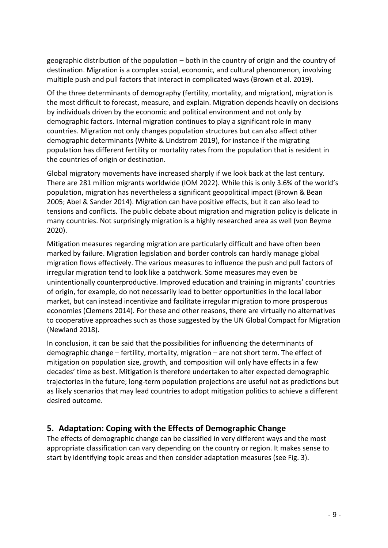geographic distribution of the population – both in the country of origin and the country of destination. Migration is a complex social, economic, and cultural phenomenon, involving multiple push and pull factors that interact in complicated ways (Brown et al. 2019).

Of the three determinants of demography (fertility, mortality, and migration), migration is the most difficult to forecast, measure, and explain. Migration depends heavily on decisions by individuals driven by the economic and political environment and not only by demographic factors. Internal migration continues to play a significant role in many countries. Migration not only changes population structures but can also affect other demographic determinants (White & Lindstrom 2019), for instance if the migrating population has different fertility or mortality rates from the population that is resident in the countries of origin or destination.

Global migratory movements have increased sharply if we look back at the last century. There are 281 million migrants worldwide (IOM 2022). While this is only 3.6% of the world's population, migration has nevertheless a significant geopolitical impact (Brown & Bean 2005; Abel & Sander 2014). Migration can have positive effects, but it can also lead to tensions and conflicts. The public debate about migration and migration policy is delicate in many countries. Not surprisingly migration is a highly researched area as well (von Beyme 2020).

Mitigation measures regarding migration are particularly difficult and have often been marked by failure. Migration legislation and border controls can hardly manage global migration flows effectively. The various measures to influence the push and pull factors of irregular migration tend to look like a patchwork. Some measures may even be unintentionally counterproductive. Improved education and training in migrants' countries of origin, for example, do not necessarily lead to better opportunities in the local labor market, but can instead incentivize and facilitate irregular migration to more prosperous economies (Clemens 2014). For these and other reasons, there are virtually no alternatives to cooperative approaches such as those suggested by the UN Global Compact for Migration (Newland 2018).

In conclusion, it can be said that the possibilities for influencing the determinants of demographic change – fertility, mortality, migration – are not short term. The effect of mitigation on population size, growth, and composition will only have effects in a few decades' time as best. Mitigation is therefore undertaken to alter expected demographic trajectories in the future; long-term population projections are useful not as predictions but as likely scenarios that may lead countries to adopt mitigation politics to achieve a different desired outcome.

# **5. Adaptation: Coping with the Effects of Demographic Change**

The effects of demographic change can be classified in very different ways and the most appropriate classification can vary depending on the country or region. It makes sense to start by identifying topic areas and then consider adaptation measures (see Fig. 3).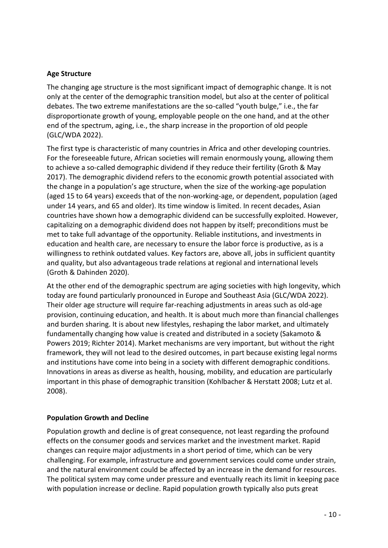#### **Age Structure**

The changing age structure is the most significant impact of demographic change. It is not only at the center of the demographic transition model, but also at the center of political debates. The two extreme manifestations are the so-called "youth bulge," i.e., the far disproportionate growth of young, employable people on the one hand, and at the other end of the spectrum, aging, i.e., the sharp increase in the proportion of old people (GLC/WDA 2022).

The first type is characteristic of many countries in Africa and other developing countries. For the foreseeable future, African societies will remain enormously young, allowing them to achieve a so-called demographic dividend if they reduce their fertility (Groth & May 2017). The demographic dividend refers to the economic growth potential associated with the change in a population's age structure, when the size of the working-age population (aged 15 to 64 years) exceeds that of the non-working-age, or dependent, population (aged under 14 years, and 65 and older). Its time window is limited. In recent decades, Asian countries have shown how a demographic dividend can be successfully exploited. However, capitalizing on a demographic dividend does not happen by itself; preconditions must be met to take full advantage of the opportunity. Reliable institutions, and investments in education and health care, are necessary to ensure the labor force is productive, as is a willingness to rethink outdated values. Key factors are, above all, jobs in sufficient quantity and quality, but also advantageous trade relations at regional and international levels (Groth & Dahinden 2020).

At the other end of the demographic spectrum are aging societies with high longevity, which today are found particularly pronounced in Europe and Southeast Asia (GLC/WDA 2022). Their older age structure will require far-reaching adjustments in areas such as old-age provision, continuing education, and health. It is about much more than financial challenges and burden sharing. It is about new lifestyles, reshaping the labor market, and ultimately fundamentally changing how value is created and distributed in a society (Sakamoto & Powers 2019; Richter 2014). Market mechanisms are very important, but without the right framework, they will not lead to the desired outcomes, in part because existing legal norms and institutions have come into being in a society with different demographic conditions. Innovations in areas as diverse as health, housing, mobility, and education are particularly important in this phase of demographic transition (Kohlbacher & Herstatt 2008; Lutz et al. 2008).

#### **Population Growth and Decline**

Population growth and decline is of great consequence, not least regarding the profound effects on the consumer goods and services market and the investment market. Rapid changes can require major adjustments in a short period of time, which can be very challenging. For example, infrastructure and government services could come under strain, and the natural environment could be affected by an increase in the demand for resources. The political system may come under pressure and eventually reach its limit in keeping pace with population increase or decline. Rapid population growth typically also puts great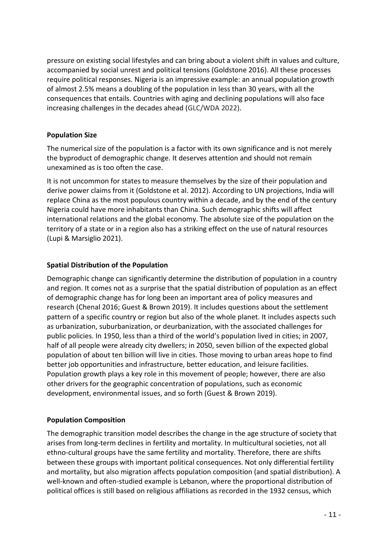pressure on existing social lifestyles and can bring about a violent shift in values and culture, accompanied by social unrest and political tensions (Goldstone 2016). All these processes require political responses. Nigeria is an impressive example: an annual population growth of almost 2.5% means a doubling of the population in less than 30 years, with all the consequences that entails. Countries with aging and declining populations will also face increasing challenges in the decades ahead (GLC/WDA 2022).

#### **Population Size**

The numerical size of the population is a factor with its own significance and is not merely the byproduct of demographic change. It deserves attention and should not remain unexamined as is too often the case.

It is not uncommon for states to measure themselves by the size of their population and derive power claims from it (Goldstone et al. 2012). According to UN projections, India will replace China as the most populous country within a decade, and by the end of the century Nigeria could have more inhabitants than China. Such demographic shifts will affect international relations and the global economy. The absolute size of the population on the territory of a state or in a region also has a striking effect on the use of natural resources (Lupi & Marsiglio 2021).

## **Spatial Distribution of the Population**

Demographic change can significantly determine the distribution of population in a country and region. It comes not as a surprise that the spatial distribution of population as an effect of demographic change has for long been an important area of policy measures and research (Chenal 2016; Guest & Brown 2019). It includes questions about the settlement pattern of a specific country or region but also of the whole planet. It includes aspects such as urbanization, suburbanization, or deurbanization, with the associated challenges for public policies. In 1950, less than a third of the world's population lived in cities; in 2007, half of all people were already city dwellers; in 2050, seven billion of the expected global population of about ten billion will live in cities. Those moving to urban areas hope to find better job opportunities and infrastructure, better education, and leisure facilities. Population growth plays a key role in this movement of people; however, there are also other drivers for the geographic concentration of populations, such as economic development, environmental issues, and so forth (Guest & Brown 2019).

## **Population Composition**

The demographic transition model describes the change in the age structure of society that arises from long-term declines in fertility and mortality. In multicultural societies, not all ethno-cultural groups have the same fertility and mortality. Therefore, there are shifts between these groups with important political consequences. Not only differential fertility and mortality, but also migration affects population composition (and spatial distribution). A well-known and often-studied example is Lebanon, where the proportional distribution of political offices is still based on religious affiliations as recorded in the 1932 census, which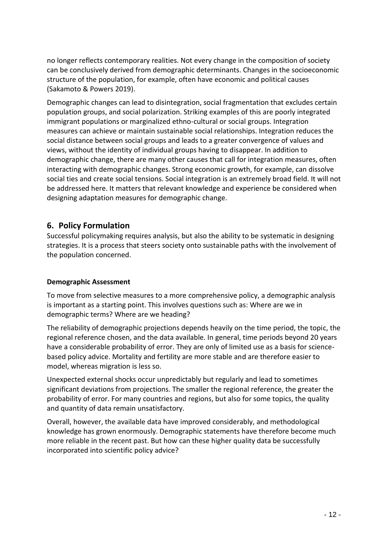no longer reflects contemporary realities. Not every change in the composition of society can be conclusively derived from demographic determinants. Changes in the socioeconomic structure of the population, for example, often have economic and political causes (Sakamoto & Powers 2019).

Demographic changes can lead to disintegration, social fragmentation that excludes certain population groups, and social polarization. Striking examples of this are poorly integrated immigrant populations or marginalized ethno-cultural or social groups. Integration measures can achieve or maintain sustainable social relationships. Integration reduces the social distance between social groups and leads to a greater convergence of values and views, without the identity of individual groups having to disappear. In addition to demographic change, there are many other causes that call for integration measures, often interacting with demographic changes. Strong economic growth, for example, can dissolve social ties and create social tensions. Social integration is an extremely broad field. It will not be addressed here. It matters that relevant knowledge and experience be considered when designing adaptation measures for demographic change.

## **6. Policy Formulation**

Successful policymaking requires analysis, but also the ability to be systematic in designing strategies. It is a process that steers society onto sustainable paths with the involvement of the population concerned.

#### **Demographic Assessment**

To move from selective measures to a more comprehensive policy, a demographic analysis is important as a starting point. This involves questions such as: Where are we in demographic terms? Where are we heading?

The reliability of demographic projections depends heavily on the time period, the topic, the regional reference chosen, and the data available. In general, time periods beyond 20 years have a considerable probability of error. They are only of limited use as a basis for sciencebased policy advice. Mortality and fertility are more stable and are therefore easier to model, whereas migration is less so.

Unexpected external shocks occur unpredictably but regularly and lead to sometimes significant deviations from projections. The smaller the regional reference, the greater the probability of error. For many countries and regions, but also for some topics, the quality and quantity of data remain unsatisfactory.

Overall, however, the available data have improved considerably, and methodological knowledge has grown enormously. Demographic statements have therefore become much more reliable in the recent past. But how can these higher quality data be successfully incorporated into scientific policy advice?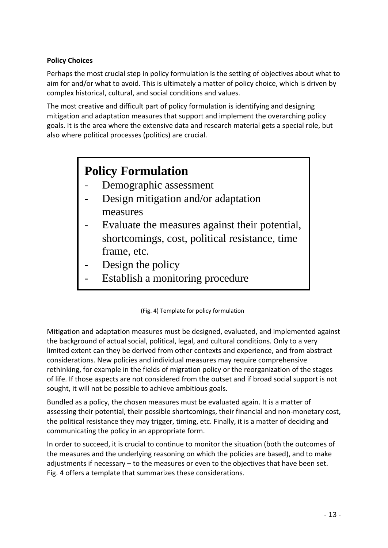## **Policy Choices**

Perhaps the most crucial step in policy formulation is the setting of objectives about what to aim for and/or what to avoid. This is ultimately a matter of policy choice, which is driven by complex historical, cultural, and social conditions and values.

The most creative and difficult part of policy formulation is identifying and designing mitigation and adaptation measures that support and implement the overarching policy goals. It is the area where the extensive data and research material gets a special role, but also where political processes (politics) are crucial.

# **Policy Formulation**

- Demographic assessment
- Design mitigation and/or adaptation measures
- Evaluate the measures against their potential, shortcomings, cost, political resistance, time frame, etc.
- Design the policy
- Establish a monitoring procedure

Mitigation and adaptation measures must be designed, evaluated, and implemented against the background of actual social, political, legal, and cultural conditions. Only to a very limited extent can they be derived from other contexts and experience, and from abstract considerations. New policies and individual measures may require comprehensive rethinking, for example in the fields of migration policy or the reorganization of the stages of life. If those aspects are not considered from the outset and if broad social support is not sought, it will not be possible to achieve ambitious goals.

Bundled as a policy, the chosen measures must be evaluated again. It is a matter of assessing their potential, their possible shortcomings, their financial and non-monetary cost, the political resistance they may trigger, timing, etc. Finally, it is a matter of deciding and communicating the policy in an appropriate form.

In order to succeed, it is crucial to continue to monitor the situation (both the outcomes of the measures and the underlying reasoning on which the policies are based), and to make adjustments if necessary – to the measures or even to the objectives that have been set. Fig. 4 offers a template that summarizes these considerations.

<sup>(</sup>Fig. 4) Template for policy formulation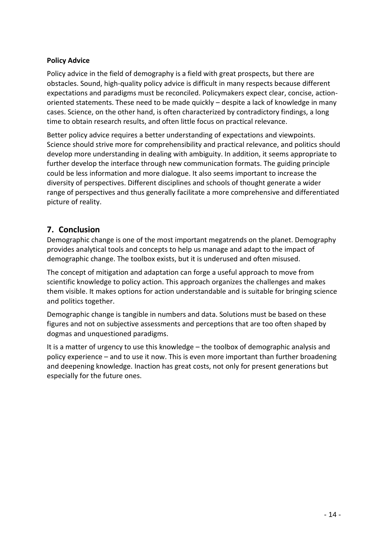## **Policy Advice**

Policy advice in the field of demography is a field with great prospects, but there are obstacles. Sound, high-quality policy advice is difficult in many respects because different expectations and paradigms must be reconciled. Policymakers expect clear, concise, actionoriented statements. These need to be made quickly – despite a lack of knowledge in many cases. Science, on the other hand, is often characterized by contradictory findings, a long time to obtain research results, and often little focus on practical relevance.

Better policy advice requires a better understanding of expectations and viewpoints. Science should strive more for comprehensibility and practical relevance, and politics should develop more understanding in dealing with ambiguity. In addition, it seems appropriate to further develop the interface through new communication formats. The guiding principle could be less information and more dialogue. It also seems important to increase the diversity of perspectives. Different disciplines and schools of thought generate a wider range of perspectives and thus generally facilitate a more comprehensive and differentiated picture of reality.

# **7. Conclusion**

Demographic change is one of the most important megatrends on the planet. Demography provides analytical tools and concepts to help us manage and adapt to the impact of demographic change. The toolbox exists, but it is underused and often misused.

The concept of mitigation and adaptation can forge a useful approach to move from scientific knowledge to policy action. This approach organizes the challenges and makes them visible. It makes options for action understandable and is suitable for bringing science and politics together.

Demographic change is tangible in numbers and data. Solutions must be based on these figures and not on subjective assessments and perceptions that are too often shaped by dogmas and unquestioned paradigms.

It is a matter of urgency to use this knowledge – the toolbox of demographic analysis and policy experience – and to use it now. This is even more important than further broadening and deepening knowledge. Inaction has great costs, not only for present generations but especially for the future ones.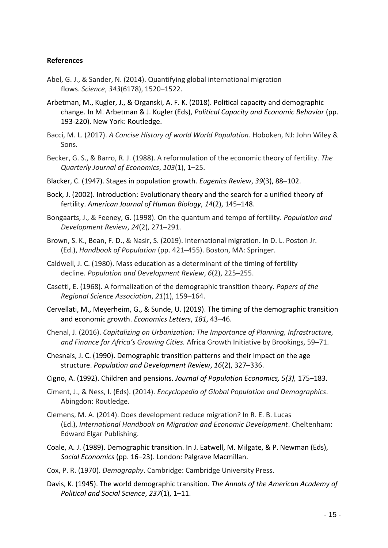#### **References**

- Abel, G. J., & Sander, N. (2014). Quantifying global international migration flows. *Science*, *343*(6178), 1520–1522.
- Arbetman, M., Kugler, J., & Organski, A. F. K. (2018). Political capacity and demographic change. In M. Arbetman & J. Kugler (Eds), *Political Capacity and Economic Behavior* (pp. 193-220). New York: Routledge.
- Bacci, M. L. (2017). *A Concise History of world World Population*. Hoboken, NJ: John Wiley & Sons.
- Becker, G. S., & Barro, R. J. (1988). A reformulation of the economic theory of fertility. *The Quarterly Journal of Economics*, *103*(1), 1–25.
- Blacker, C. (1947). Stages in population growth. *Eugenics Review*, *39*(3), 88–102.
- Bock, J. (2002). Introduction: Evolutionary theory and the search for a unified theory of fertility. *American Journal of Human Biology*, *14*(2), 145–148.
- Bongaarts, J., & Feeney, G. (1998). On the quantum and tempo of fertility. *Population and Development Review*, *24*(2), 271–291.
- Brown, S. K., Bean, F. D., & Nasir, S. (2019). International migration. In D. L. Poston Jr. (Ed.), *Handbook of Population* (pp. 421–455). Boston, MA: Springer.
- Caldwell, J. C. (1980). Mass education as a determinant of the timing of fertility decline. *Population and Development Review*, *6*(2), 225–255.
- Casetti, E. (1968). A formalization of the demographic transition theory. *Papers of the Regional Science Association*, *21*(1), 159–164.
- Cervellati, M., Meyerheim, G., & Sunde, U. (2019). The timing of the demographic transition and economic growth. *Economics Letters*, *181*, 43–46.
- Chenal, J. (2016). *Capitalizing on Urbanization: The Importance of Planning, Infrastructure, and Finance for Africa's Growing Cities.* Africa Growth Initiative by Brookings, 59–71.
- Chesnais, J. C. (1990). Demographic transition patterns and their impact on the age structure. *Population and Development Review*, *16*(2), 327–336.
- Cigno, A. (1992). Children and pensions. *Journal of Population Economics, 5(3),* 175–183.
- Ciment, J., & Ness, I. (Eds). (2014). *Encyclopedia of Global Population and Demographics*. Abingdon: Routledge.
- Clemens, M. A. (2014). Does development reduce migration? In R. E. B. Lucas (Ed.), *International Handbook on Migration and Economic Development*. Cheltenham: Edward Elgar Publishing.
- Coale, A. J. (1989). Demographic transition. In J. Eatwell, M. Milgate, & P. Newman (Eds), *Social Economics* (pp. 16–23). London: Palgrave Macmillan.
- Cox, P. R. (1970). *Demography*. Cambridge: Cambridge University Press.
- Davis, K. (1945). The world demographic transition. *The Annals of the American Academy of Political and Social Science*, *237*(1), 1–11.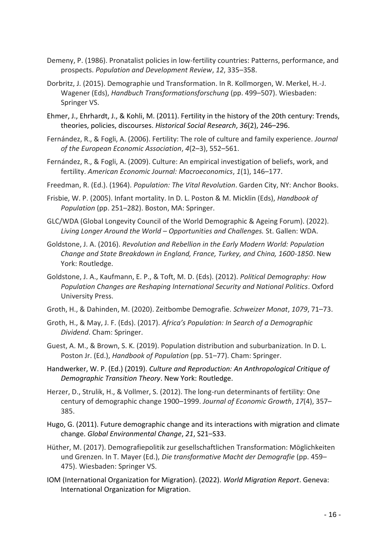- Demeny, P. (1986). Pronatalist policies in low-fertility countries: Patterns, performance, and prospects. *Population and Development Review*, *12*, 335–358.
- Dorbritz, J. (2015). Demographie und Transformation. In R. Kollmorgen, W. Merkel, H.-J. Wagener (Eds), *Handbuch Transformationsforschung* (pp. 499–507). Wiesbaden: Springer VS.
- Ehmer, J., Ehrhardt, J., & Kohli, M. (2011). Fertility in the history of the 20th century: Trends, theories, policies, discourses. *Historical Social Research*, *36*(2), 246–296.
- Fernández, R., & Fogli, A. (2006). Fertility: The role of culture and family experience. *Journal of the European Economic Association*, *4*(2–3), 552–561.
- Fernández, R., & Fogli, A. (2009). Culture: An empirical investigation of beliefs, work, and fertility. *American Economic Journal: Macroeconomics*, *1*(1), 146–177.
- Freedman, R. (Ed.). (1964). *Population: The Vital Revolution*. Garden City, NY: Anchor Books.
- Frisbie, W. P. (2005). Infant mortality. In D. L. Poston & M. Micklin (Eds), *Handbook of Population* (pp. 251–282). Boston, MA: Springer.
- GLC/WDA (Global Longevity Council of the World Demographic & Ageing Forum). (2022). *Living Longer Around the World – Opportunities and Challenges.* St. Gallen: WDA.
- Goldstone, J. A. (2016). *Revolution and Rebellion in the Early Modern World: Population Change and State Breakdown in England, France, Turkey, and China, 1600-1850*. New York: Routledge.
- Goldstone, J. A., Kaufmann, E. P., & Toft, M. D. (Eds). (2012). *Political Demography: How Population Changes are Reshaping International Security and National Politics*. Oxford University Press.
- Groth, H., & Dahinden, M. (2020). Zeitbombe Demografie. *Schweizer Monat*, *1079*, 71–73.
- Groth, H., & May, J. F. (Eds). (2017). *Africa's Population: In Search of a Demographic Dividend*. Cham: Springer.
- Guest, A. M., & Brown, S. K. (2019). Population distribution and suburbanization. In D. L. Poston Jr. (Ed.), *Handbook of Population* (pp. 51–77). Cham: Springer.
- Handwerker, W. P. (Ed.) (2019). *Culture and Reproduction: An Anthropological Critique of Demographic Transition Theory*. New York: Routledge.
- Herzer, D., Strulik, H., & Vollmer, S. (2012). The long-run determinants of fertility: One century of demographic change 1900–1999. *Journal of Economic Growth*, *17*(4), 357– 385.
- Hugo, G. (2011). Future demographic change and its interactions with migration and climate change. *Global Environmental Change*, *21*, S21–S33.
- Hüther, M. (2017). Demografiepolitik zur gesellschaftlichen Transformation: Möglichkeiten und Grenzen. In T. Mayer (Ed.), *Die transformative Macht der Demografie* (pp. 459– 475). Wiesbaden: Springer VS.
- IOM (International Organization for Migration). (2022). *World Migration Report*. Geneva: International Organization for Migration.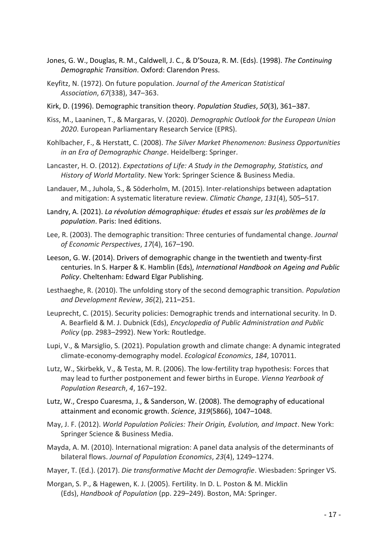- Jones, G. W., Douglas, R. M., Caldwell, J. C., & D'Souza, R. M. (Eds). (1998). *The Continuing Demographic Transition*. Oxford: Clarendon Press.
- Keyfitz, N. (1972). On future population. *Journal of the American Statistical Association*, *67*(338), 347–363.
- Kirk, D. (1996). Demographic transition theory. *Population Studies*, *50*(3), 361–387.
- Kiss, M., Laaninen, T., & Margaras, V. (2020). *Demographic Outlook for the European Union 2020*. European Parliamentary Research Service (EPRS).
- Kohlbacher, F., & Herstatt, C. (2008). *The Silver Market Phenomenon: Business Opportunities in an Era of Demographic Change*. Heidelberg: Springer.
- Lancaster, H. O. (2012). *Expectations of Life: A Study in the Demography, Statistics, and History of World Mortality*. New York: Springer Science & Business Media.
- Landauer, M., Juhola, S., & Söderholm, M. (2015). Inter-relationships between adaptation and mitigation: A systematic literature review. *Climatic Change*, *131*(4), 505–517.
- Landry, A. (2021). *La révolution démographique: études et essais sur les problèmes de la population*. Paris: Ined éditions.
- Lee, R. (2003). The demographic transition: Three centuries of fundamental change. *Journal of Economic Perspectives*, *17*(4), 167–190.
- Leeson, G. W. (2014). Drivers of demographic change in the twentieth and twenty-first centuries. In S. Harper & K. Hamblin (Eds), *International Handbook on Ageing and Public Policy*. Cheltenham: Edward Elgar Publishing.
- Lesthaeghe, R. (2010). The unfolding story of the second demographic transition. *Population and Development Review*, *36*(2), 211–251.
- Leuprecht, C. (2015). Security policies: Demographic trends and international security. In D. A. Bearfield & M. J. Dubnick (Eds), *Encyclopedia of Public Administration and Public Policy* (pp. 2983–2992). New York: Routledge.
- Lupi, V., & Marsiglio, S. (2021). Population growth and climate change: A dynamic integrated climate-economy-demography model. *Ecological Economics*, *184*, 107011.
- Lutz, W., Skirbekk, V., & Testa, M. R. (2006). The low-fertility trap hypothesis: Forces that may lead to further postponement and fewer births in Europe. *Vienna Yearbook of Population Research*, *4*, 167–192.
- Lutz, W., Crespo Cuaresma, J., & Sanderson, W. (2008). The demography of educational attainment and economic growth. *Science*, *319*(5866), 1047–1048.
- May, J. F. (2012). *World Population Policies: Their Origin, Evolution, and Impact*. New York: Springer Science & Business Media.
- Mayda, A. M. (2010). International migration: A panel data analysis of the determinants of bilateral flows. *Journal of Population Economics*, *23*(4), 1249–1274.
- Mayer, T. (Ed.). (2017). *Die transformative Macht der Demografie*. Wiesbaden: Springer VS.
- Morgan, S. P., & Hagewen, K. J. (2005). Fertility. In D. L. Poston & M. Micklin (Eds), *Handbook of Population* (pp. 229–249). Boston, MA: Springer.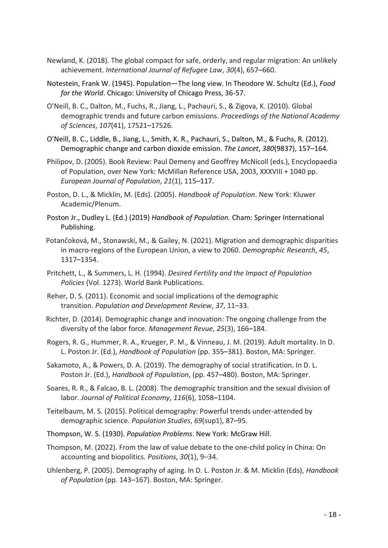- Newland, K. (2018). The global compact for safe, orderly, and regular migration: An unlikely achievement. *International Journal of Refugee Law*, *30*(4), 657–660.
- Notestein, Frank W. (1945). Population—The long view. In Theodore W. Schultz (Ed.), *Food for the World*. Chicago: University of Chicago Press, 36-57.
- O'Neill, B. C., Dalton, M., Fuchs, R., Jiang, L., Pachauri, S., & Zigova, K. (2010). Global demographic trends and future carbon emissions. *Proceedings of the National Academy of Sciences*, *107*(41), 17521–17526.
- O'Neill, B. C., Liddle, B., Jiang, L., Smith, K. R., Pachauri, S., Dalton, M., & Fuchs, R. (2012). Demographic change and carbon dioxide emission. *The Lancet*, *380*(9837), 157–164.
- Philipov, D. (2005). Book Review: Paul Demeny and Geoffrey McNicoll (eds.), Encyclopaedia of Population, over New York: McMillan Reference USA, 2003, XXXVIII + 1040 pp. *European Journal of Population*, *21*(1), 115–117.
- Poston, D. L., & Micklin, M. (Eds). (2005). *Handbook of Population*. New York: Kluwer Academic/Plenum.
- Poston Jr., Dudley L. (Ed.) (2019) *Handbook of Population.* Cham: Springer International Publishing.
- Potančoková, M., Stonawski, M., & Gailey, N. (2021). Migration and demographic disparities in macro-regions of the European Union, a view to 2060. *Demographic Research*, *45*, 1317–1354.
- Pritchett, L., & Summers, L. H. (1994). *Desired Fertility and the Impact of Population Policies* (Vol. 1273). World Bank Publications.
- Reher, D. S. (2011). Economic and social implications of the demographic transition. *Population and Development Review*, *37*, 11–33.
- Richter, D. (2014). Demographic change and innovation: The ongoing challenge from the diversity of the labor force. *Management Revue*, *25*(3), 166–184.
- Rogers, R. G., Hummer, R. A., Krueger, P. M., & Vinneau, J. M. (2019). Adult mortality. In D. L. Poston Jr. (Ed.), *Handbook of Population* (pp. 355–381). Boston, MA: Springer.
- Sakamoto, A., & Powers, D. A. (2019). The demography of social stratification. In D. L. Poston Jr. (Ed.), *Handbook of Population*, (pp. 457–480). Boston, MA: Springer.
- Soares, R. R., & Falcao, B. L. (2008). The demographic transition and the sexual division of labor. *Journal of Political Economy*, *116*(6), 1058–1104.
- Teitelbaum, M. S. (2015). Political demography: Powerful trends under-attended by demographic science. *Population Studies*, *69*(sup1), 87–95.
- Thompson, W. S. (1930). *Population Problems*. New York: McGraw Hill.
- Thompson, M. (2022). From the law of value debate to the one-child policy in China: On accounting and biopolitics. *Positions*, *30*(1), 9–34.
- Uhlenberg, P. (2005). Demography of aging. In D. L. Poston Jr. & M. Micklin (Eds), *Handbook of Population* (pp. 143–167). Boston, MA: Springer.